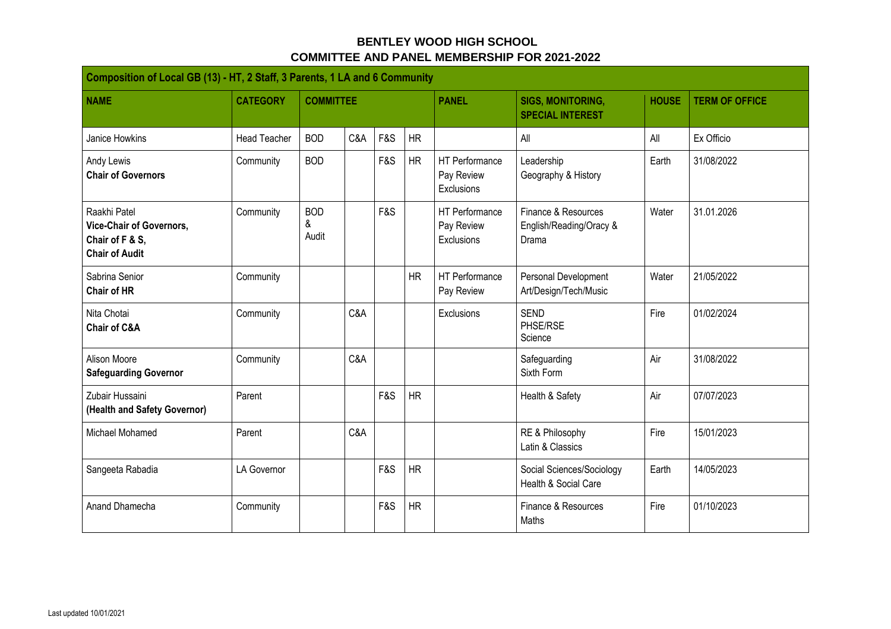## **BENTLEY WOOD HIGH SCHOOL COMMITTEE AND PANEL MEMBERSHIP FOR 2021-2022**

| Composition of Local GB (13) - HT, 2 Staff, 3 Parents, 1 LA and 6 Community                 |                     |                          |     |     |           |                                                   |                                                         |              |                       |  |  |
|---------------------------------------------------------------------------------------------|---------------------|--------------------------|-----|-----|-----------|---------------------------------------------------|---------------------------------------------------------|--------------|-----------------------|--|--|
| <b>NAME</b>                                                                                 | <b>CATEGORY</b>     | <b>COMMITTEE</b>         |     |     |           | <b>PANEL</b>                                      | <b>SIGS, MONITORING,</b><br><b>SPECIAL INTEREST</b>     | <b>HOUSE</b> | <b>TERM OF OFFICE</b> |  |  |
| <b>Janice Howkins</b>                                                                       | <b>Head Teacher</b> | <b>BOD</b>               | C&A | F&S | HR        |                                                   | All                                                     | All          | Ex Officio            |  |  |
| Andy Lewis<br><b>Chair of Governors</b>                                                     | Community           | <b>BOD</b>               |     | F&S | HR        | <b>HT</b> Performance<br>Pay Review<br>Exclusions | Leadership<br>Geography & History                       | Earth        | 31/08/2022            |  |  |
| Raakhi Patel<br><b>Vice-Chair of Governors,</b><br>Chair of F & S,<br><b>Chair of Audit</b> | Community           | <b>BOD</b><br>&<br>Audit |     | F&S |           | <b>HT</b> Performance<br>Pay Review<br>Exclusions | Finance & Resources<br>English/Reading/Oracy &<br>Drama | Water        | 31.01.2026            |  |  |
| Sabrina Senior<br><b>Chair of HR</b>                                                        | Community           |                          |     |     | HR        | HT Performance<br>Pay Review                      | Personal Development<br>Art/Design/Tech/Music           | Water        | 21/05/2022            |  |  |
| Nita Chotai<br><b>Chair of C&amp;A</b>                                                      | Community           |                          | C&A |     |           | Exclusions                                        | <b>SEND</b><br>PHSE/RSE<br>Science                      | Fire         | 01/02/2024            |  |  |
| <b>Alison Moore</b><br><b>Safeguarding Governor</b>                                         | Community           |                          | C&A |     |           |                                                   | Safeguarding<br>Sixth Form                              | Air          | 31/08/2022            |  |  |
| Zubair Hussaini<br>(Health and Safety Governor)                                             | Parent              |                          |     | F&S | <b>HR</b> |                                                   | Health & Safety                                         | Air          | 07/07/2023            |  |  |
| Michael Mohamed                                                                             | Parent              |                          | C&A |     |           |                                                   | RE & Philosophy<br>Latin & Classics                     | Fire         | 15/01/2023            |  |  |
| Sangeeta Rabadia                                                                            | LA Governor         |                          |     | F&S | <b>HR</b> |                                                   | Social Sciences/Sociology<br>Health & Social Care       | Earth        | 14/05/2023            |  |  |
| Anand Dhamecha                                                                              | Community           |                          |     | F&S | <b>HR</b> |                                                   | Finance & Resources<br>Maths                            | Fire         | 01/10/2023            |  |  |